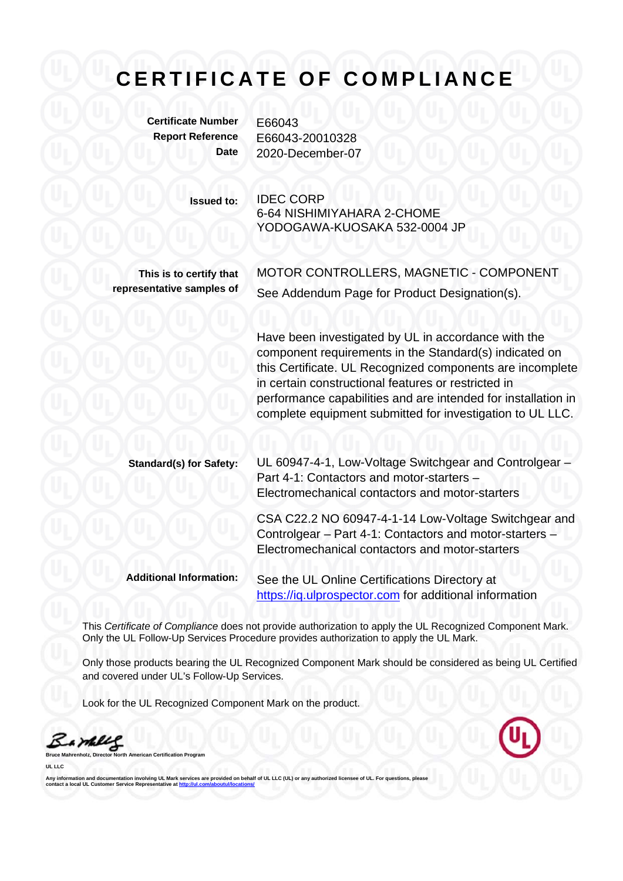## **CERTIFICATE OF COMPLIANCE**

**Certificate Number** E66043

**Report Reference** E66043-20010328 **Date** 2020-December-07

> **Issued to:** IDEC CORP 6-64 NISHIMIYAHARA 2-CHOME YODOGAWA-KUOSAKA 532-0004 JP

**This is to certify that representative samples of** MOTOR CONTROLLERS, MAGNETIC - COMPONENT See Addendum Page for Product Designation(s).

Have been investigated by UL in accordance with the component requirements in the Standard(s) indicated on this Certificate. UL Recognized components are incomplete in certain constructional features or restricted in performance capabilities and are intended for installation in complete equipment submitted for investigation to UL LLC.

**Standard(s) for Safety:** UL 60947-4-1, Low-Voltage Switchgear and Controlgear – Part 4-1: Contactors and motor-starters – Electromechanical contactors and motor-starters CSA C22.2 NO 60947-4-1-14 Low-Voltage Switchgear and Controlgear – Part 4-1: Contactors and motor-starters – Electromechanical contactors and motor-starters

**Additional Information:** See the UL Online Certifications Directory at https://iq.ulprospector.com for additional information

This *Certificate of Compliance* does not provide authorization to apply the UL Recognized Component Mark. Only the UL Follow-Up Services Procedure provides authorization to apply the UL Mark.

Only those products bearing the UL Recognized Component Mark should be considered as being UL Certified and covered under UL's Follow-Up Services.

Look for the UL Recognized Component Mark on the product.

Sample

**Bruce Manner** Program

**UL LLC** 

Any information and documentation involving UL Mark services are provided on behalf of UL LLC (UL) or any authorized licensee of UL. For questions, please<br>contact a local UL Customer Service Representative at <u>http://ul.co</u>